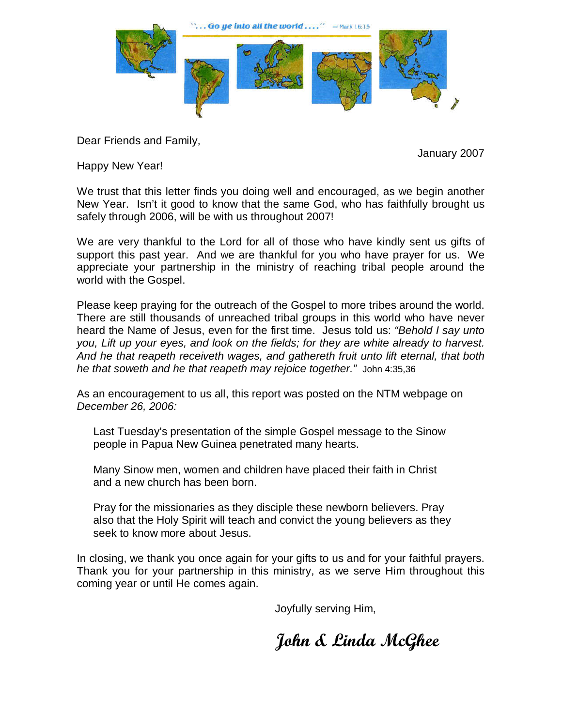

Dear Friends and Family,

January 2007

Happy New Year!

We trust that this letter finds you doing well and encouraged, as we begin another New Year. Isn't it good to know that the same God, who has faithfully brought us safely through 2006, will be with us throughout 2007!

We are very thankful to the Lord for all of those who have kindly sent us gifts of support this past year. And we are thankful for you who have prayer for us. We appreciate your partnership in the ministry of reaching tribal people around the world with the Gospel.

Please keep praying for the outreach of the Gospel to more tribes around the world. There are still thousands of unreached tribal groups in this world who have never heard the Name of Jesus, even for the first time. Jesus told us: "Behold I say unto you, Lift up your eyes, and look on the fields; for they are white already to harvest. And he that reapeth receiveth wages, and gathereth fruit unto lift eternal, that both he that soweth and he that reapeth may rejoice together." John 4:35,36

As an encouragement to us all, this report was posted on the NTM webpage on December 26, 2006:

Last Tuesday's presentation of the simple Gospel message to the Sinow people in Papua New Guinea penetrated many hearts.

Many Sinow men, women and children have placed their faith in Christ and a new church has been born.

Pray for the missionaries as they disciple these newborn believers. Pray also that the Holy Spirit will teach and convict the young believers as they seek to know more about Jesus.

In closing, we thank you once again for your gifts to us and for your faithful prayers. Thank you for your partnership in this ministry, as we serve Him throughout this coming year or until He comes again.

Joyfully serving Him,

John & Linda McGhee